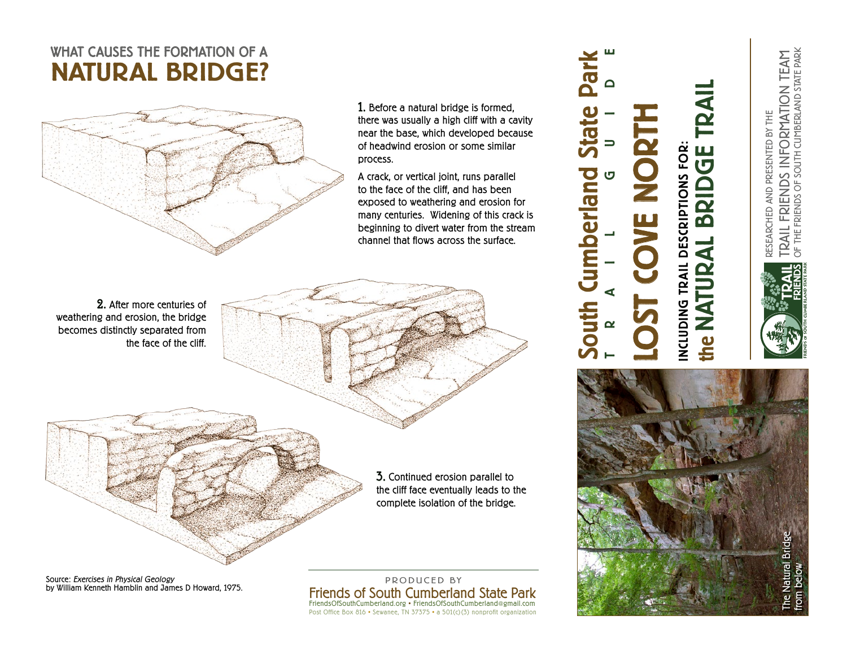## WHAT CAUSES THE FORMATION OF A NATURAL BRIDGE?



1. Before a natural bridge is formed, there was usually a high cliff with a cavity near the base, which developed because of headwind erosion or some similar process.

A crack, or vertical joint, runs parallel to the face of the cliff, and has been exposed to weathering and erosion for many centuries. Widening of this crack is beginning to divert water from the stream channel that flows across the surface.

2. After more centuries of weathering and erosion, the bridge becomes distinctly separated from the face of the cliff.

> 3. Continued erosion parallel to the cliff face eventually leads to the complete isolation of the bridge.

Source: Exercises in Physical Geology by William Kenneth Hamblin and James D Howard, 1975.

Friends of South Cumberland State Park FriendsOfSouthCumberland.org • FriendsOfSouthCumberland@gmail.com Post Office Box 816 • Sewanee, TN 37375 • a 501(c)(3) nonprofit organization PRODUCED BY

## the NATURAL BRIDGE TRAIL TRAI LOST COVE NORTH **INCLUDING TRAIL DESCRIPTIONS FOR:**<br>The NATURAL BRIDGE INCLUDING TRAIL DESCRIPTIONS FOR:

South Cumberland State Park

umberland

**Outh** 

Par

Č

TRAIL GUIDE



TRAIL FRIENDS INFORMATION TEAM<br>of the friends of south cumberland state park OF THE FRIENDS OF SOUTH CUMBERLAND STATE PARK TRAIL FRIENDS INFORMATION TEAM RESEARCHED AND PRESENTED BY THE RESEARCHED AND PRESENTED BY THE

**FRIENDS OF SOUTH CUMBERLAND STATE PARK**

 $\vdash$  $\boldsymbol{\alpha}$ AIL FRIENDS